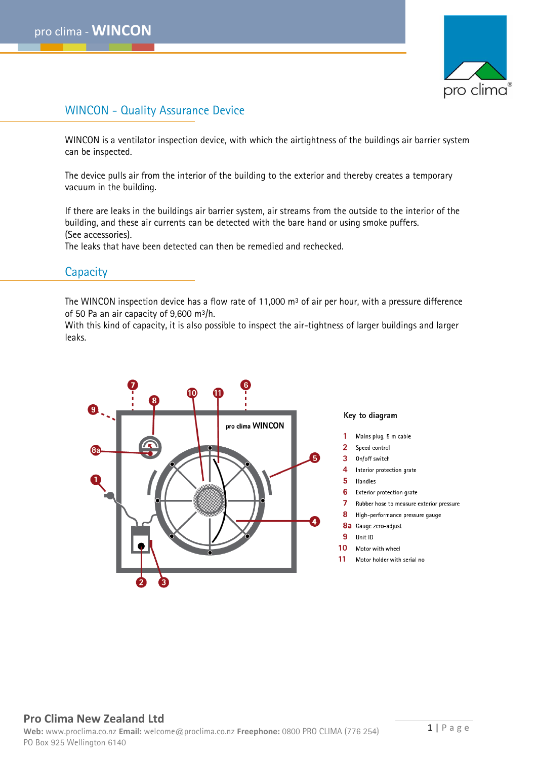

# WINCON - Quality Assurance Device

WINCON is a ventilator inspection device, with which the airtightness of the buildings air barrier system can be inspected.

The device pulls air from the interior of the building to the exterior and thereby creates a temporary vacuum in the building.

If there are leaks in the buildings air barrier system, air streams from the outside to the interior of the building, and these air currents can be detected with the bare hand or using smoke puffers. (See accessories).

The leaks that have been detected can then be remedied and rechecked.

#### **Capacity**

The WINCON inspection device has a flow rate of 11,000 m<sup>3</sup> of air per hour, with a pressure difference of 50 Pa an air capacity of 9,600  $m^3/h$ .

With this kind of capacity, it is also possible to inspect the air-tightness of larger buildings and larger leaks.



#### Key to diagram

- Mains plug, 5 m cable
- $\overline{2}$ Speed control
- $\overline{3}$ On/off switch
- 4 Interior protection grate
- 5 Handles
- 6 Exterior protection grate
- $\mathbf{7}$ Rubber hose to measure exterior pressure
- 8 High-performance pressure gauge
- 8a Gauge zero-adjust
- 9 Unit ID
- $10<sup>-10</sup>$ Motor with wheel
- 11 Motor holder with serial no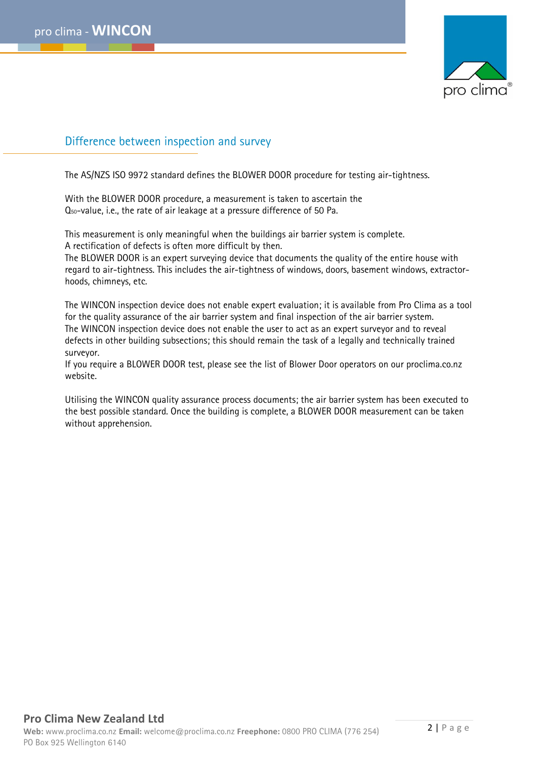

# Difference between inspection and survey

The AS/NZS ISO 9972 standard defines the BLOWER DOOR procedure for testing air-tightness.

With the BLOWER DOOR procedure, a measurement is taken to ascertain the Q50-value, i.e., the rate of air leakage at a pressure difference of 50 Pa.

This measurement is only meaningful when the buildings air barrier system is complete. A rectification of defects is often more difficult by then.

The BLOWER DOOR is an expert surveying device that documents the quality of the entire house with regard to air-tightness. This includes the air-tightness of windows, doors, basement windows, extractorhoods, chimneys, etc.

The WINCON inspection device does not enable expert evaluation; it is available from Pro Clima as a tool for the quality assurance of the air barrier system and final inspection of the air barrier system. The WINCON inspection device does not enable the user to act as an expert surveyor and to reveal defects in other building subsections; this should remain the task of a legally and technically trained surveyor.

If you require a BLOWER DOOR test, please see the list of Blower Door operators on our proclima.co.nz website.

Utilising the WINCON quality assurance process documents; the air barrier system has been executed to the best possible standard. Once the building is complete, a BLOWER DOOR measurement can be taken without apprehension.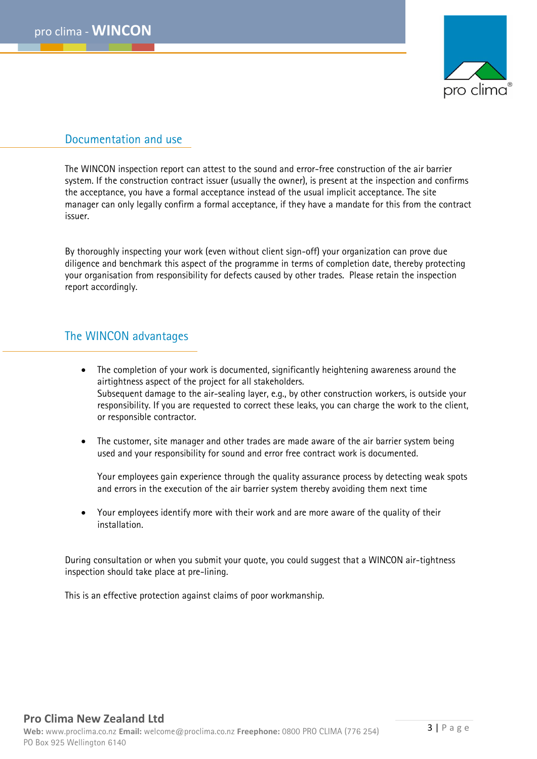

### Documentation and use

The WINCON inspection report can attest to the sound and error-free construction of the air barrier system. If the construction contract issuer (usually the owner), is present at the inspection and confirms the acceptance, you have a formal acceptance instead of the usual implicit acceptance. The site manager can only legally confirm a formal acceptance, if they have a mandate for this from the contract issuer.

By thoroughly inspecting your work (even without client sign-off) your organization can prove due diligence and benchmark this aspect of the programme in terms of completion date, thereby protecting your organisation from responsibility for defects caused by other trades. Please retain the inspection report accordingly.

# The WINCON advantages

- The completion of your work is documented, significantly heightening awareness around the airtightness aspect of the project for all stakeholders. Subsequent damage to the air-sealing layer, e.g., by other construction workers, is outside your responsibility. If you are requested to correct these leaks, you can charge the work to the client, or responsible contractor.
- The customer, site manager and other trades are made aware of the air barrier system being used and your responsibility for sound and error free contract work is documented.

Your employees gain experience through the quality assurance process by detecting weak spots and errors in the execution of the air barrier system thereby avoiding them next time

• Your employees identify more with their work and are more aware of the quality of their installation.

During consultation or when you submit your quote, you could suggest that a WINCON air-tightness inspection should take place at pre-lining.

This is an effective protection against claims of poor workmanship.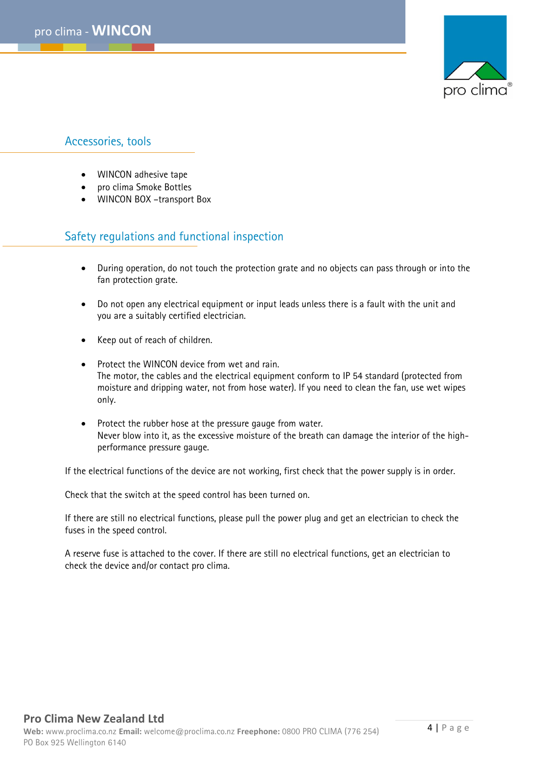

# Accessories, tools

- WINCON adhesive tape
- pro clima Smoke Bottles
- WINCON BOX –transport Box

# Safety regulations and functional inspection

- During operation, do not touch the protection grate and no objects can pass through or into the fan protection grate.
- Do not open any electrical equipment or input leads unless there is a fault with the unit and you are a suitably certified electrician.
- Keep out of reach of children.
- Protect the WINCON device from wet and rain. The motor, the cables and the electrical equipment conform to IP 54 standard (protected from moisture and dripping water, not from hose water). If you need to clean the fan, use wet wipes only.
- Protect the rubber hose at the pressure gauge from water. Never blow into it, as the excessive moisture of the breath can damage the interior of the highperformance pressure gauge.

If the electrical functions of the device are not working, first check that the power supply is in order.

Check that the switch at the speed control has been turned on.

If there are still no electrical functions, please pull the power plug and get an electrician to check the fuses in the speed control.

A reserve fuse is attached to the cover. If there are still no electrical functions, get an electrician to check the device and/or contact pro clima.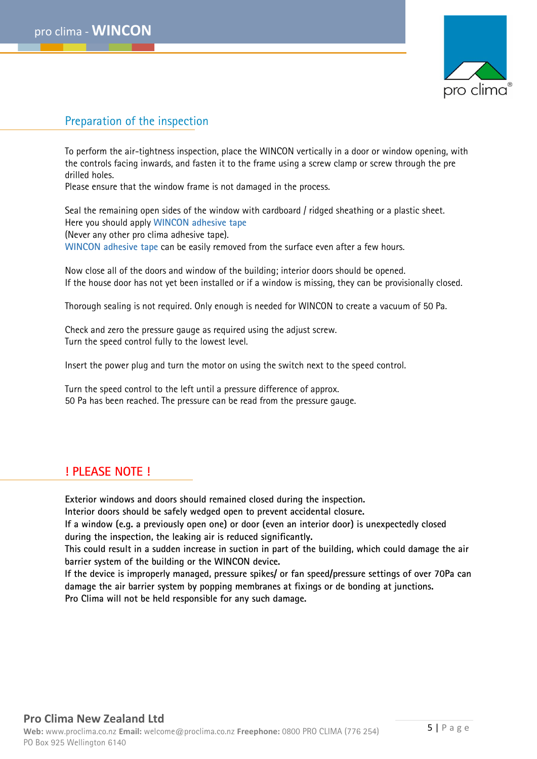

# Preparation of the inspection

To perform the air-tightness inspection, place the WINCON vertically in a door or window opening, with the controls facing inwards, and fasten it to the frame using a screw clamp or screw through the pre drilled holes.

Please ensure that the window frame is not damaged in the process.

Seal the remaining open sides of the window with cardboard / ridged sheathing or a plastic sheet. Here you should apply **WINCON adhesive tape** (Never any other pro clima adhesive tape). **WINCON adhesive tape** can be easily removed from the surface even after a few hours.

Now close all of the doors and window of the building; interior doors should be opened. If the house door has not yet been installed or if a window is missing, they can be provisionally closed.

Thorough sealing is not required. Only enough is needed for WINCON to create a vacuum of 50 Pa.

Check and zero the pressure gauge as required using the adjust screw. Turn the speed control fully to the lowest level.

Insert the power plug and turn the motor on using the switch next to the speed control.

Turn the speed control to the left until a pressure difference of approx. 50 Pa has been reached. The pressure can be read from the pressure gauge.

#### **! PLEASE NOTE !**

**Exterior windows and doors should remained closed during the inspection.**

**Interior doors should be safely wedged open to prevent accidental closure.**

**If a window (e.g. a previously open one) or door (even an interior door) is unexpectedly closed during the inspection, the leaking air is reduced significantly.** 

**This could result in a sudden increase in suction in part of the building, which could damage the air barrier system of the building or the WINCON device.**

**If the device is improperly managed, pressure spikes/ or fan speed/pressure settings of over 70Pa can damage the air barrier system by popping membranes at fixings or de bonding at junctions. Pro Clima will not be held responsible for any such damage.**6